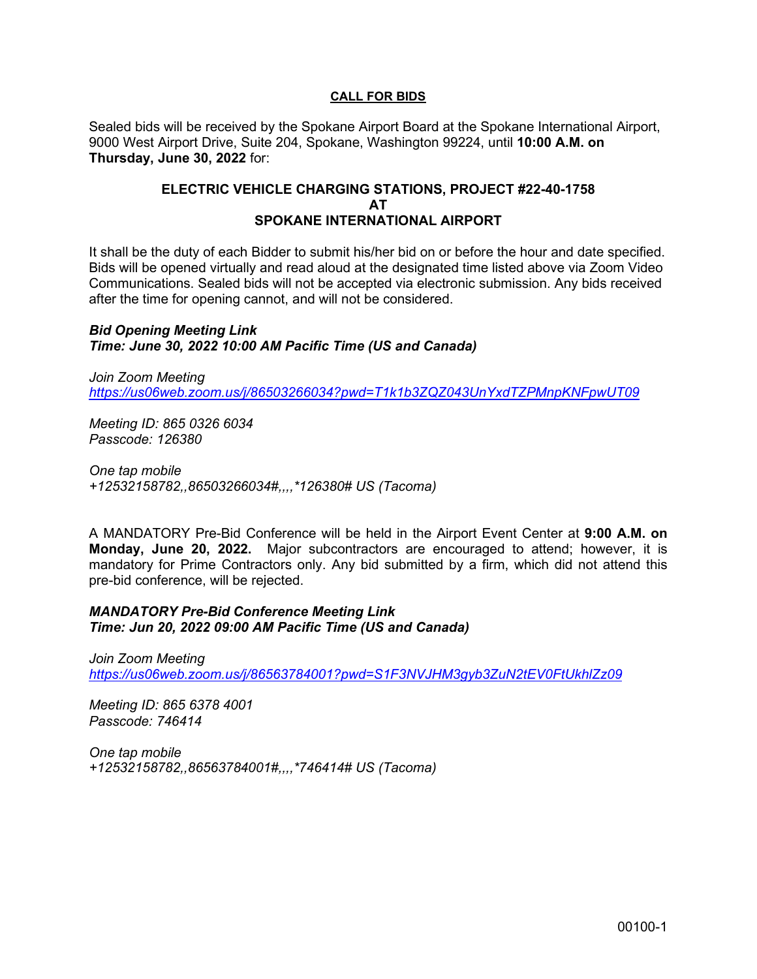## **CALL FOR BIDS**

Sealed bids will be received by the Spokane Airport Board at the Spokane International Airport, 9000 West Airport Drive, Suite 204, Spokane, Washington 99224, until **10:00 A.M. on Thursday, June 30, 2022** for:

## **ELECTRIC VEHICLE CHARGING STATIONS, PROJECT #22-40-1758 AT SPOKANE INTERNATIONAL AIRPORT**

It shall be the duty of each Bidder to submit his/her bid on or before the hour and date specified. Bids will be opened virtually and read aloud at the designated time listed above via Zoom Video Communications. Sealed bids will not be accepted via electronic submission. Any bids received after the time for opening cannot, and will not be considered.

*Bid Opening Meeting Link Time: June 30, 2022 10:00 AM Pacific Time (US and Canada)* 

*Join Zoom Meeting https://us06web.zoom.us/j/86503266034?pwd=T1k1b3ZQZ043UnYxdTZPMnpKNFpwUT09*

*Meeting ID: 865 0326 6034 Passcode: 126380* 

*One tap mobile +12532158782,,86503266034#,,,,\*126380# US (Tacoma)* 

A MANDATORY Pre-Bid Conference will be held in the Airport Event Center at **9:00 A.M. on Monday, June 20, 2022.** Major subcontractors are encouraged to attend; however, it is mandatory for Prime Contractors only. Any bid submitted by a firm, which did not attend this pre-bid conference, will be rejected.

*MANDATORY Pre-Bid Conference Meeting Link Time: Jun 20, 2022 09:00 AM Pacific Time (US and Canada)* 

*Join Zoom Meeting https://us06web.zoom.us/j/86563784001?pwd=S1F3NVJHM3gyb3ZuN2tEV0FtUkhlZz09*

*Meeting ID: 865 6378 4001 Passcode: 746414* 

*One tap mobile +12532158782,,86563784001#,,,,\*746414# US (Tacoma)*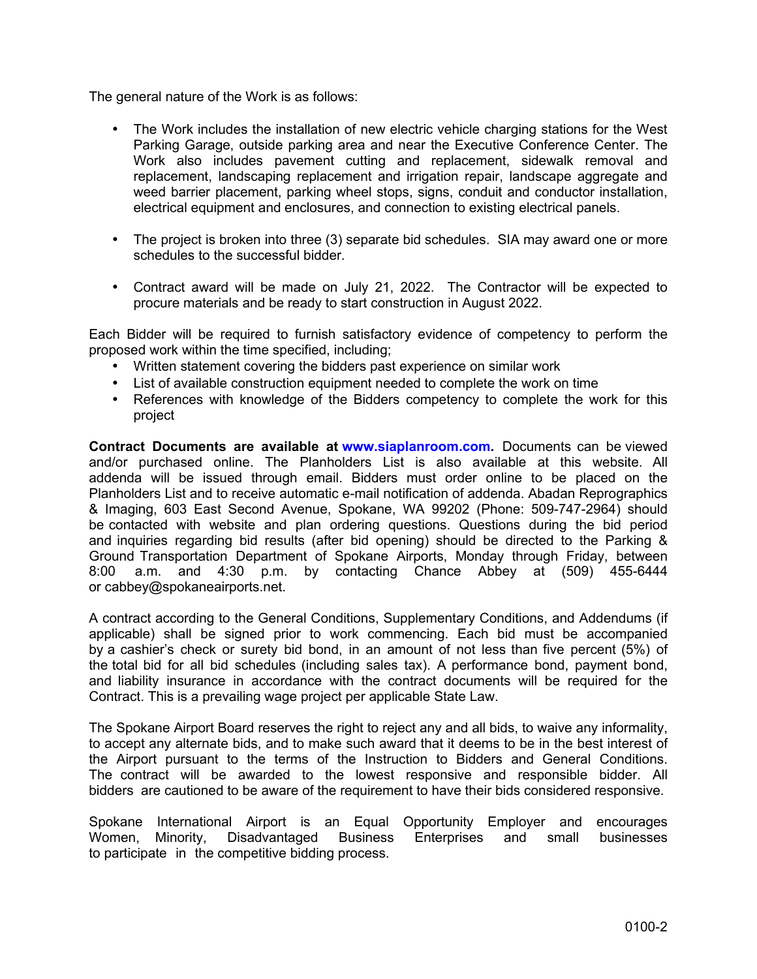The general nature of the Work is as follows:

- The Work includes the installation of new electric vehicle charging stations for the West Parking Garage, outside parking area and near the Executive Conference Center. The Work also includes pavement cutting and replacement, sidewalk removal and replacement, landscaping replacement and irrigation repair, landscape aggregate and weed barrier placement, parking wheel stops, signs, conduit and conductor installation, electrical equipment and enclosures, and connection to existing electrical panels.
- The project is broken into three (3) separate bid schedules. SIA may award one or more schedules to the successful bidder
- Contract award will be made on July 21, 2022. The Contractor will be expected to procure materials and be ready to start construction in August 2022.

Each Bidder will be required to furnish satisfactory evidence of competency to perform the proposed work within the time specified, including;

- Written statement covering the bidders past experience on similar work
- List of available construction equipment needed to complete the work on time
- References with knowledge of the Bidders competency to complete the work for this project

**Contract Documents are available at [www.siaplanroom.com.](https://hosted.onlineplanservice.com/Project/125)** Documents can be viewed and/or purchased online. The Planholders List is also available at this website. All addenda will be issued through email. Bidders must order online to be placed on the Planholders List and to receive automatic e-mail notification of addenda. Abadan Reprographics & Imaging, 603 East Second Avenue, Spokane, WA 99202 (Phone: 509-747-2964) should be contacted with website and plan ordering questions. Questions during the bid period and inquiries regarding bid results (after bid opening) should be directed to the Parking & Ground Transportation Department of Spokane Airports, Monday through Friday, between 8:00 a.m. and 4:30 p.m. by contacting Chance Abbey at (509) 455-6444 or cabbey@spokaneairports.net.

A contract according to the General Conditions, Supplementary Conditions, and Addendums (if applicable) shall be signed prior to work commencing. Each bid must be accompanied by a cashier's check or surety bid bond, in an amount of not less than five percent (5%) of the total bid for all bid schedules (including sales tax). A performance bond, payment bond, and liability insurance in accordance with the contract documents will be required for the Contract. This is a prevailing wage project per applicable State Law.

The Spokane Airport Board reserves the right to reject any and all bids, to waive any informality, to accept any alternate bids, and to make such award that it deems to be in the best interest of the Airport pursuant to the terms of the Instruction to Bidders and General Conditions. The contract will be awarded to the lowest responsive and responsible bidder. All bidders are cautioned to be aware of the requirement to have their bids considered responsive.

Spokane International Airport is an Equal Opportunity Employer and encourages Women, Minority, Disadvantaged Business Enterprises and small businesses to participate in the competitive bidding process.